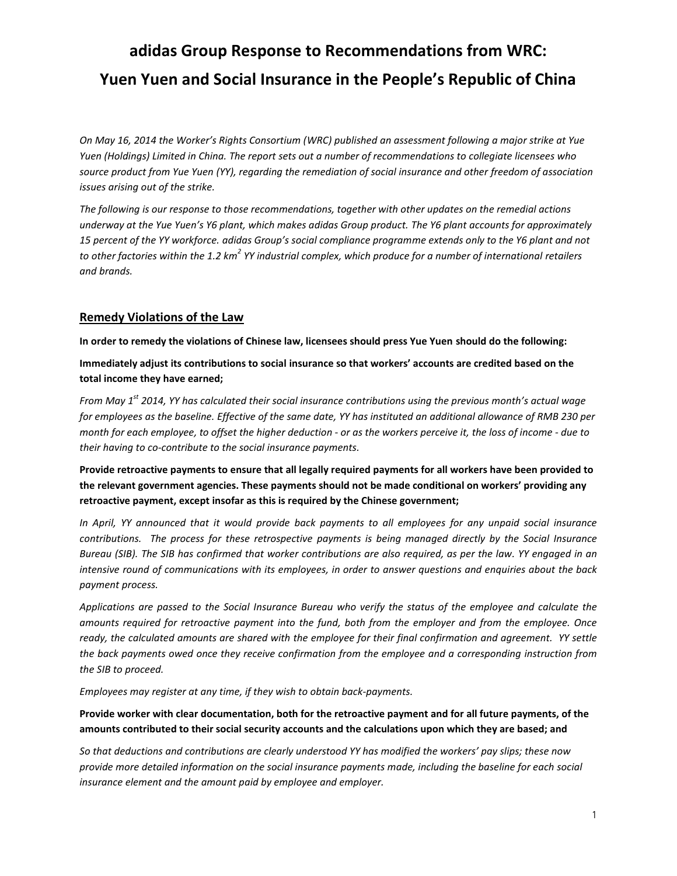*On May 16, 2014 the Worker's Rights Consortium (WRC) published an assessment following a major strike at Yue Yuen (Holdings) Limited in China. The report sets out a number of recommendations to collegiate licensees who source product from Yue Yuen (YY), regarding the remediation of social insurance and other freedom of association issues arising out of the strike.* 

*The following is our response to those recommendations, together with other updates on the remedial actions underway at the Yue Yuen's Y6 plant, which makes adidas Group product. The Y6 plant accounts for approximately 15 percent of the YY workforce. adidas Group's social compliance programme extends only to the Y6 plant and not to other factories within the 1.2 km<sup>2</sup> YY industrial complex, which produce for a number of international retailers and brands.*

#### **Remedy Violations of the Law**

**In order to remedy the violations of Chinese law, licensees should press Yue Yuen should do the following:**

**Immediately adjust its contributions to social insurance so that workers' accounts are credited based on the total income they have earned;**

*From May 1st 2014, YY has calculated their social insurance contributions using the previous month's actual wage for employees as the baseline. Effective of the same date, YY has instituted an additional allowance of RMB 230 per month for each employee, to offset the higher deduction - or as the workers perceive it, the loss of income - due to their having to co-contribute to the social insurance payments.* 

**Provide retroactive payments to ensure that all legally required payments for all workers have been provided to the relevant government agencies. These payments should not be made conditional on workers' providing any retroactive payment, except insofar as this is required by the Chinese government;**

*In April, YY announced that it would provide back payments to all employees for any unpaid social insurance contributions. The process for these retrospective payments is being managed directly by the Social Insurance Bureau (SIB). The SIB has confirmed that worker contributions are also required, as per the law. YY engaged in an intensive round of communications with its employees, in order to answer questions and enquiries about the back payment process.* 

*Applications are passed to the Social Insurance Bureau who verify the status of the employee and calculate the amounts required for retroactive payment into the fund, both from the employer and from the employee. Once ready, the calculated amounts are shared with the employee for their final confirmation and agreement. YY settle the back payments owed once they receive confirmation from the employee and a corresponding instruction from the SIB to proceed.* 

*Employees may register at any time, if they wish to obtain back-payments.* 

#### **Provide worker with clear documentation, both for the retroactive payment and for all future payments, of the amounts contributed to their social security accounts and the calculations upon which they are based; and**

*So that deductions and contributions are clearly understood YY has modified the workers' pay slips; these now provide more detailed information on the social insurance payments made, including the baseline for each social insurance element and the amount paid by employee and employer.*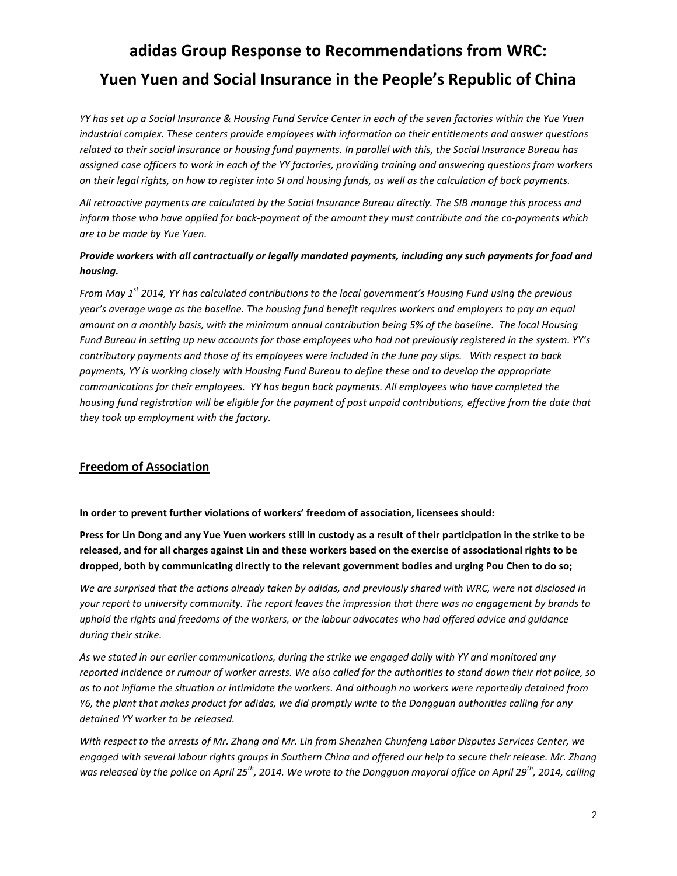*YY has set up a Social Insurance & Housing Fund Service Center in each of the seven factories within the Yue Yuen industrial complex. These centers provide employees with information on their entitlements and answer questions related to their social insurance or housing fund payments. In parallel with this, the Social Insurance Bureau has assigned case officers to work in each of the YY factories, providing training and answering questions from workers on their legal rights, on how to register into SI and housing funds, as well as the calculation of back payments.* 

*All retroactive payments are calculated by the Social Insurance Bureau directly. The SIB manage this process and inform those who have applied for back-payment of the amount they must contribute and the co-payments which are to be made by Yue Yuen.*

### *Provide workers with all contractually or legally mandated payments, including any such payments for food and housing.*

*From May 1st 2014, YY has calculated contributions to the local government's Housing Fund using the previous year's average wage as the baseline. The housing fund benefit requires workers and employers to pay an equal amount on a monthly basis, with the minimum annual contribution being 5% of the baseline. The local Housing Fund Bureau in setting up new accounts for those employees who had not previously registered in the system. YY's contributory payments and those of its employees were included in the June pay slips. With respect to back payments, YY is working closely with Housing Fund Bureau to define these and to develop the appropriate communications for their employees. YY has begun back payments. All employees who have completed the housing fund registration will be eligible for the payment of past unpaid contributions, effective from the date that they took up employment with the factory.*

### **Freedom of Association**

**In order to prevent further violations of workers' freedom of association, licensees should:** 

**Press for Lin Dong and any Yue Yuen workers still in custody as a result of their participation in the strike to be released, and for all charges against Lin and these workers based on the exercise of associational rights to be dropped, both by communicating directly to the relevant government bodies and urging Pou Chen to do so;** 

*We are surprised that the actions already taken by adidas, and previously shared with WRC, were not disclosed in your report to university community. The report leaves the impression that there was no engagement by brands to uphold the rights and freedoms of the workers, or the labour advocates who had offered advice and guidance during their strike.* 

*As we stated in our earlier communications, during the strike we engaged daily with YY and monitored any reported incidence or rumour of worker arrests. We also called for the authorities to stand down their riot police, so as to not inflame the situation or intimidate the workers. And although no workers were reportedly detained from Y6, the plant that makes product for adidas, we did promptly write to the Dongguan authorities calling for any detained YY worker to be released.* 

*With respect to the arrests of Mr. Zhang and Mr. Lin from Shenzhen Chunfeng Labor Disputes Services Center, we engaged with several labour rights groups in Southern China and offered our help to secure their release. Mr. Zhang was released by the police on April 25th, 2014. We wrote to the Dongguan mayoral office on April 29th, 2014, calling*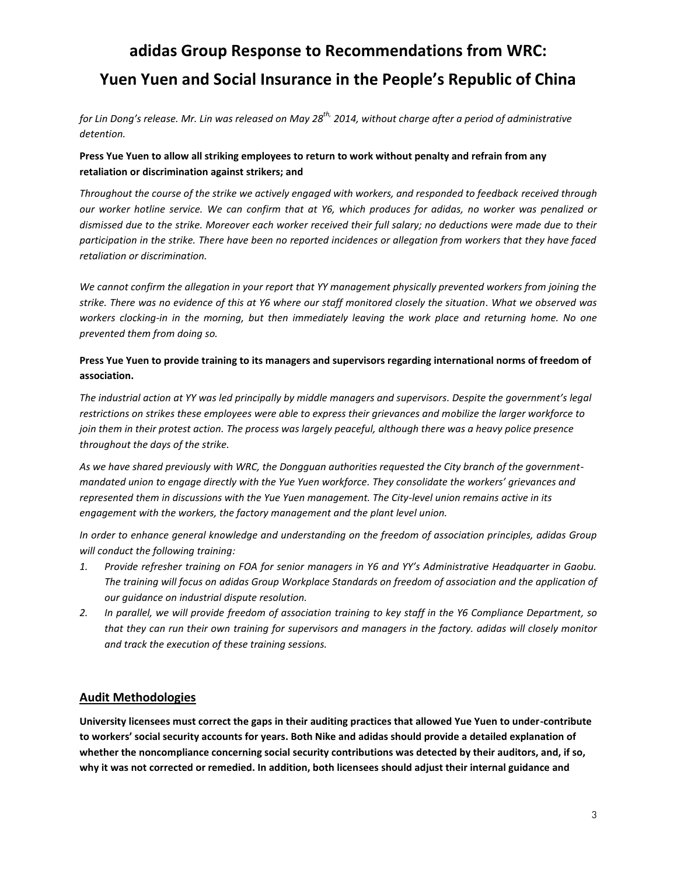*for Lin Dong's release. Mr. Lin was released on May 28th, 2014, without charge after a period of administrative detention.*

#### **Press Yue Yuen to allow all striking employees to return to work without penalty and refrain from any retaliation or discrimination against strikers; and**

*Throughout the course of the strike we actively engaged with workers, and responded to feedback received through our worker hotline service. We can confirm that at Y6, which produces for adidas, no worker was penalized or dismissed due to the strike. Moreover each worker received their full salary; no deductions were made due to their participation in the strike. There have been no reported incidences or allegation from workers that they have faced retaliation or discrimination.*

*We cannot confirm the allegation in your report that YY management physically prevented workers from joining the strike. There was no evidence of this at Y6 where our staff monitored closely the situation. What we observed was workers clocking-in in the morning, but then immediately leaving the work place and returning home. No one prevented them from doing so.*

#### **Press Yue Yuen to provide training to its managers and supervisors regarding international norms of freedom of association.**

*The industrial action at YY was led principally by middle managers and supervisors. Despite the government's legal restrictions on strikes these employees were able to express their grievances and mobilize the larger workforce to join them in their protest action. The process was largely peaceful, although there was a heavy police presence throughout the days of the strike.*

*As we have shared previously with WRC, the Dongguan authorities requested the City branch of the governmentmandated union to engage directly with the Yue Yuen workforce. They consolidate the workers' grievances and represented them in discussions with the Yue Yuen management. The City-level union remains active in its engagement with the workers, the factory management and the plant level union.*

*In order to enhance general knowledge and understanding on the freedom of association principles, adidas Group will conduct the following training:*

- *1. Provide refresher training on FOA for senior managers in Y6 and YY's Administrative Headquarter in Gaobu. The training will focus on adidas Group Workplace Standards on freedom of association and the application of our guidance on industrial dispute resolution.*
- *2. In parallel, we will provide freedom of association training to key staff in the Y6 Compliance Department, so that they can run their own training for supervisors and managers in the factory. adidas will closely monitor and track the execution of these training sessions.*

### **Audit Methodologies**

**University licensees must correct the gaps in their auditing practices that allowed Yue Yuen to under-contribute to workers' social security accounts for years. Both Nike and adidas should provide a detailed explanation of whether the noncompliance concerning social security contributions was detected by their auditors, and, if so, why it was not corrected or remedied. In addition, both licensees should adjust their internal guidance and**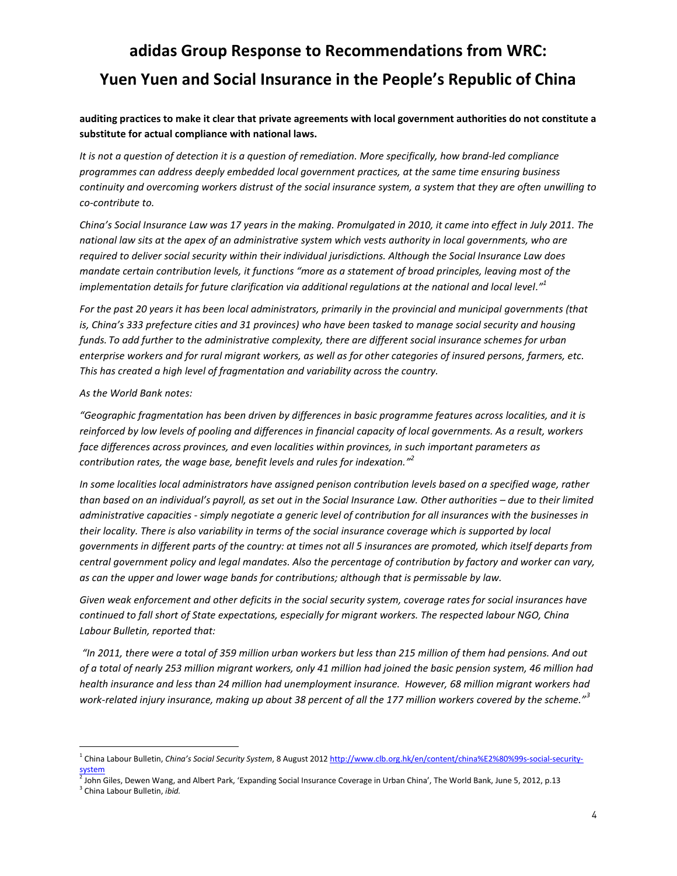### **auditing practices to make it clear that private agreements with local government authorities do not constitute a substitute for actual compliance with national laws.**

*It is not a question of detection it is a question of remediation. More specifically, how brand-led compliance programmes can address deeply embedded local government practices, at the same time ensuring business continuity and overcoming workers distrust of the social insurance system, a system that they are often unwilling to co-contribute to.*

*China's Social Insurance Law was 17 years in the making. Promulgated in 2010, it came into effect in July 2011. The national law sits at the apex of an administrative system which vests authority in local governments, who are required to deliver social security within their individual jurisdictions. Although the Social Insurance Law does mandate certain contribution levels, it functions "more as a statement of broad principles, leaving most of the implementation details for future clarification via additional regulations at the national and local level."<sup>1</sup>*

*For the past 20 years it has been local administrators, primarily in the provincial and municipal governments (that is, China's 333 prefecture cities and 31 provinces) who have been tasked to manage social security and housing funds. To add further to the administrative complexity, there are different social insurance schemes for urban enterprise workers and for rural migrant workers, as well as for other categories of insured persons, farmers, etc. This has created a high level of fragmentation and variability across the country.* 

#### *As the World Bank notes:*

*"Geographic fragmentation has been driven by differences in basic programme features across localities, and it is reinforced by low levels of pooling and differences in financial capacity of local governments. As a result, workers face differences across provinces, and even localities within provinces, in such important parameters as contribution rates, the wage base, benefit levels and rules for indexation." 2*

*In some localities local administrators have assigned penison contribution levels based on a specified wage, rather than based on an individual's payroll, as set out in the Social Insurance Law. Other authorities – due to their limited administrative capacities - simply negotiate a generic level of contribution for all insurances with the businesses in their locality. There is also variability in terms of the social insurance coverage which is supported by local governments in different parts of the country: at times not all 5 insurances are promoted, which itself departs from central government policy and legal mandates. Also the percentage of contribution by factory and worker can vary, as can the upper and lower wage bands for contributions; although that is permissable by law.*

*Given weak enforcement and other deficits in the social security system, coverage rates for social insurances have continued to fall short of State expectations, especially for migrant workers. The respected labour NGO, China Labour Bulletin, reported that:*

*"In 2011, there were a total of 359 million urban workers but less than 215 million of them had pensions. And out of a total of nearly 253 million migrant workers, only 41 million had joined the basic pension system, 46 million had health insurance and less than 24 million had unemployment insurance. However, 68 million migrant workers had work-related injury insurance, making up about 38 percent of all the 177 million workers covered by the scheme."<sup>3</sup>*

 $\overline{a}$ 

<sup>1</sup> China Labour Bulletin, *China's Social Security System*, 8 August 201[2 http://www.clb.org.hk/en/content/china%E2%80%99s-social-security-](http://www.clb.org.hk/en/content/china%E2%80%99s-social-security-system)

s<u>ystem</u><br><sup>2</sup> John Giles, Dewen Wang, and Albert Park, 'Expanding Social Insurance Coverage in Urban China', The World Bank, June 5, 2012, p.13

<sup>3</sup> China Labour Bulletin, *ibid.*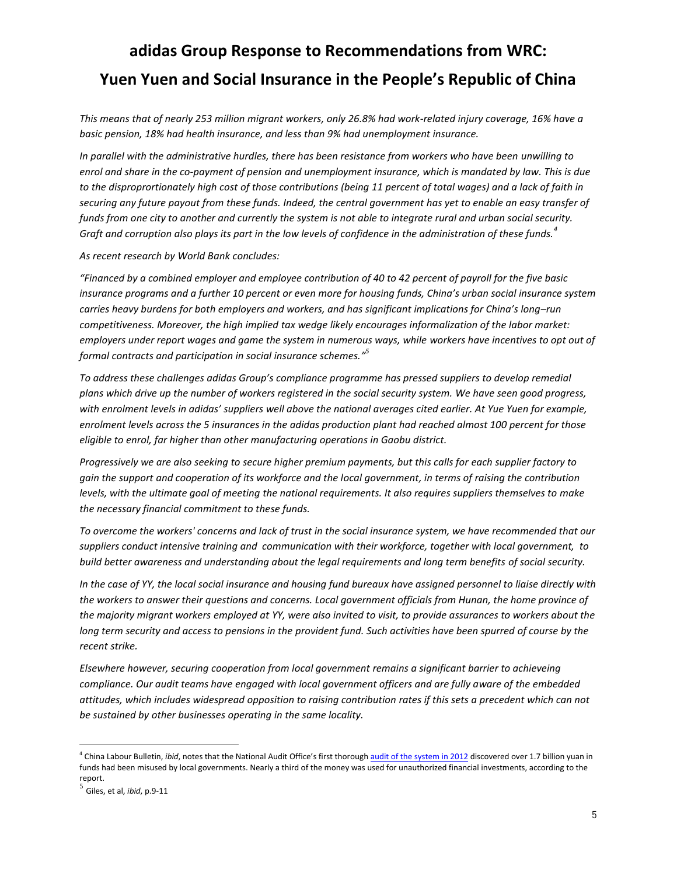*This means that of nearly 253 million migrant workers, only 26.8% had work-related injury coverage, 16% have a basic pension, 18% had health insurance, and less than 9% had unemployment insurance.* 

*In parallel with the administrative hurdles, there has been resistance from workers who have been unwilling to enrol and share in the co-payment of pension and unemployment insurance, which is mandated by law. This is due to the disproprortionately high cost of those contributions (being 11 percent of total wages) and a lack of faith in securing any future payout from these funds. Indeed, the central government has yet to enable an easy transfer of funds from one city to another and currently the system is not able to integrate rural and urban social security. Graft and corruption also plays its part in the low levels of confidence in the administration of these funds.<sup>4</sup>*

*As recent research by World Bank concludes:*

*"Financed by a combined employer and employee contribution of 40 to 42 percent of payroll for the five basic insurance programs and a further 10 percent or even more for housing funds, China's urban social insurance system carries heavy burdens for both employers and workers, and has significant implications for China's long–run competitiveness. Moreover, the high implied tax wedge likely encourages informalization of the labor market: employers under report wages and game the system in numerous ways, while workers have incentives to opt out of formal contracts and participation in social insurance schemes." 5*

*To address these challenges adidas Group's compliance programme has pressed suppliers to develop remedial plans which drive up the number of workers registered in the social security system. We have seen good progress, with enrolment levels in adidas' suppliers well above the national averages cited earlier. At Yue Yuen for example, enrolment levels across the 5 insurances in the adidas production plant had reached almost 100 percent for those eligible to enrol, far higher than other manufacturing operations in Gaobu district.*

*Progressively we are also seeking to secure higher premium payments, but this calls for each supplier factory to gain the support and cooperation of its workforce and the local government, in terms of raising the contribution levels, with the ultimate goal of meeting the national requirements. It also requires suppliers themselves to make the necessary financial commitment to these funds.*

*To overcome the workers' concerns and lack of trust in the social insurance system, we have recommended that our suppliers conduct intensive training and communication with their workforce, together with local government, to build better awareness and understanding about the legal requirements and long term benefits of social security.* 

*In the case of YY, the local social insurance and housing fund bureaux have assigned personnel to liaise directly with the workers to answer their questions and concerns. Local government officials from Hunan, the home province of the majority migrant workers employed at YY, were also invited to visit, to provide assurances to workers about the long term security and access to pensions in the provident fund. Such activities have been spurred of course by the recent strike.* 

*Elsewhere however, securing cooperation from local government remains a significant barrier to achieveing compliance. Our audit teams have engaged with local government officers and are fully aware of the embedded attitudes, which includes widespread opposition to raising contribution rates if this sets a precedent which can not be sustained by other businesses operating in the same locality.* 

 $\overline{a}$ 

<sup>&</sup>lt;sup>4</sup> China Labour Bulletin, *ibid*, notes that the National Audit Office's first thorough **[audit of the system in 2012](http://www.scmp.com/portal/site/SCMP/menuitem.2af62ecb329d3d7733492d9253a0a0a0/?vgnextoid=9622b369e38e8310VgnVCM100000360a0a0aRCRD&ss=China&s=News)** discovered over 1.7 billion yuan in funds had been misused by local governments. Nearly a third of the money was used for unauthorized financial investments, according to the report.

<sup>5</sup> Giles, et al, *ibid*, p.9-11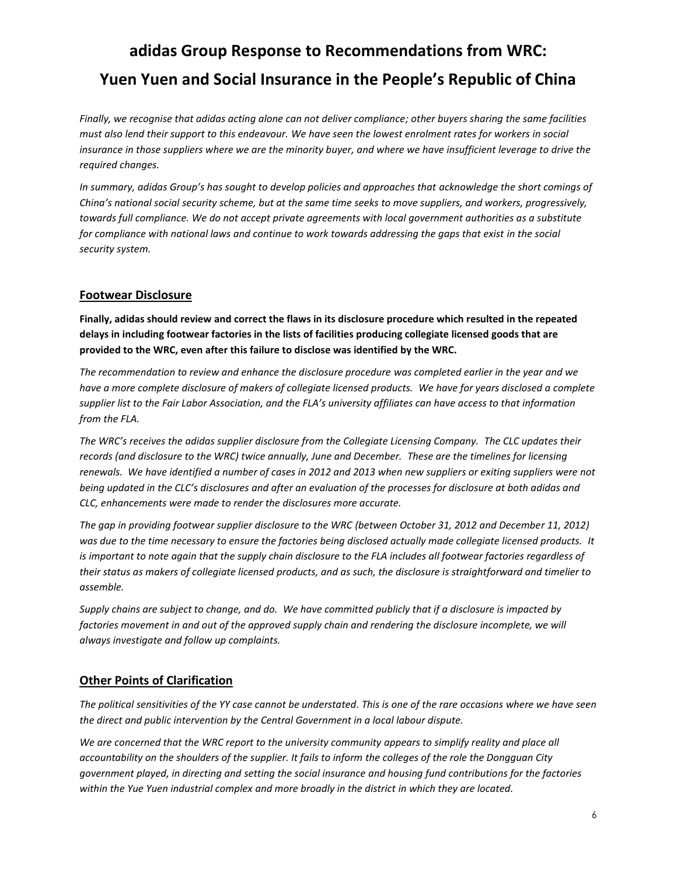*Finally, we recognise that adidas acting alone can not deliver compliance; other buyers sharing the same facilities must also lend their support to this endeavour. We have seen the lowest enrolment rates for workers in social insurance in those suppliers where we are the minority buyer, and where we have insufficient leverage to drive the required changes.*

*In summary, adidas Group's has sought to develop policies and approaches that acknowledge the short comings of China's national social security scheme, but at the same time seeks to move suppliers, and workers, progressively, towards full compliance. We do not accept private agreements with local government authorities as a substitute for compliance with national laws and continue to work towards addressing the gaps that exist in the social security system.* 

### **Footwear Disclosure**

**Finally, adidas should review and correct the flaws in its disclosure procedure which resulted in the repeated delays in including footwear factories in the lists of facilities producing collegiate licensed goods that are provided to the WRC, even after this failure to disclose was identified by the WRC.**

*The recommendation to review and enhance the disclosure procedure was completed earlier in the year and we have a more complete disclosure of makers of collegiate licensed products. We have for years disclosed a complete supplier list to the Fair Labor Association, and the FLA's university affiliates can have access to that information from the FLA.*

*The WRC's receives the adidas supplier disclosure from the Collegiate Licensing Company. The CLC updates their records (and disclosure to the WRC) twice annually, June and December. These are the timelines for licensing renewals. We have identified a number of cases in 2012 and 2013 when new suppliers or exiting suppliers were not being updated in the CLC's disclosures and after an evaluation of the processes for disclosure at both adidas and CLC, enhancements were made to render the disclosures more accurate.*

*The gap in providing footwear supplier disclosure to the WRC (between October 31, 2012 and December 11, 2012) was due to the time necessary to ensure the factories being disclosed actually made collegiate licensed products. It is important to note again that the supply chain disclosure to the FLA includes all footwear factories regardless of their status as makers of collegiate licensed products, and as such, the disclosure is straightforward and timelier to assemble.*

*Supply chains are subject to change, and do. We have committed publicly that if a disclosure is impacted by*  factories movement in and out of the approved supply chain and rendering the disclosure incomplete, we will *always investigate and follow up complaints.*

### **Other Points of Clarification**

*The political sensitivities of the YY case cannot be understated. This is one of the rare occasions where we have seen the direct and public intervention by the Central Government in a local labour dispute.*

We are concerned that the WRC report to the university community appears to simplify reality and place all *accountability on the shoulders of the supplier. It fails to inform the colleges of the role the Dongguan City government played, in directing and setting the social insurance and housing fund contributions for the factories within the Yue Yuen industrial complex and more broadly in the district in which they are located.*